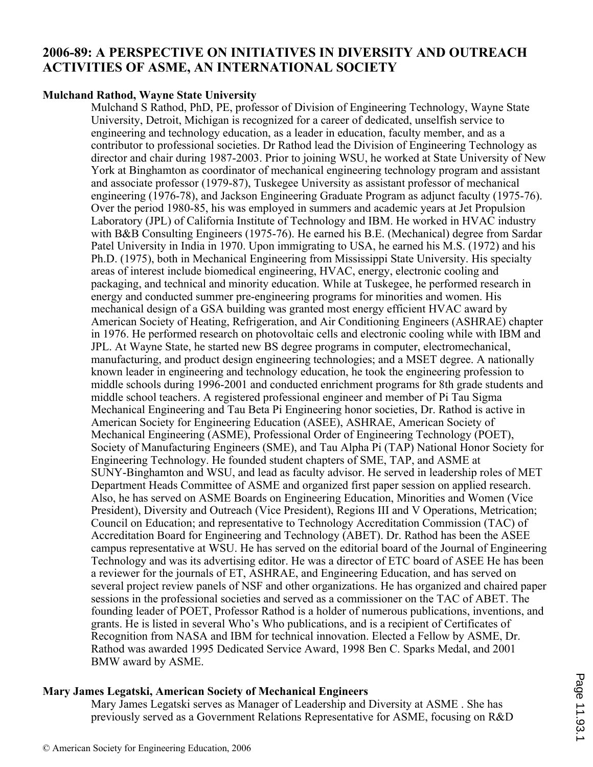# **2006-89: A PERSPECTIVE ON INITIATIVES IN DIVERSITY AND OUTREACH ACTIVITIES OF ASME, AN INTERNATIONAL SOCIETY**

### **Mulchand Rathod, Wayne State University**

Mulchand S Rathod, PhD, PE, professor of Division of Engineering Technology, Wayne State University, Detroit, Michigan is recognized for a career of dedicated, unselfish service to engineering and technology education, as a leader in education, faculty member, and as a contributor to professional societies. Dr Rathod lead the Division of Engineering Technology as director and chair during 1987-2003. Prior to joining WSU, he worked at State University of New York at Binghamton as coordinator of mechanical engineering technology program and assistant and associate professor (1979-87), Tuskegee University as assistant professor of mechanical engineering (1976-78), and Jackson Engineering Graduate Program as adjunct faculty (1975-76). Over the period 1980-85, his was employed in summers and academic years at Jet Propulsion Laboratory (JPL) of California Institute of Technology and IBM. He worked in HVAC industry with B&B Consulting Engineers (1975-76). He earned his B.E. (Mechanical) degree from Sardar Patel University in India in 1970. Upon immigrating to USA, he earned his M.S. (1972) and his Ph.D. (1975), both in Mechanical Engineering from Mississippi State University. His specialty areas of interest include biomedical engineering, HVAC, energy, electronic cooling and packaging, and technical and minority education. While at Tuskegee, he performed research in energy and conducted summer pre-engineering programs for minorities and women. His mechanical design of a GSA building was granted most energy efficient HVAC award by American Society of Heating, Refrigeration, and Air Conditioning Engineers (ASHRAE) chapter in 1976. He performed research on photovoltaic cells and electronic cooling while with IBM and JPL. At Wayne State, he started new BS degree programs in computer, electromechanical, manufacturing, and product design engineering technologies; and a MSET degree. A nationally known leader in engineering and technology education, he took the engineering profession to middle schools during 1996-2001 and conducted enrichment programs for 8th grade students and middle school teachers. A registered professional engineer and member of Pi Tau Sigma Mechanical Engineering and Tau Beta Pi Engineering honor societies, Dr. Rathod is active in American Society for Engineering Education (ASEE), ASHRAE, American Society of Mechanical Engineering (ASME), Professional Order of Engineering Technology (POET), Society of Manufacturing Engineers (SME), and Tau Alpha Pi (TAP) National Honor Society for Engineering Technology. He founded student chapters of SME, TAP, and ASME at SUNY-Binghamton and WSU, and lead as faculty advisor. He served in leadership roles of MET Department Heads Committee of ASME and organized first paper session on applied research. Also, he has served on ASME Boards on Engineering Education, Minorities and Women (Vice President), Diversity and Outreach (Vice President), Regions III and V Operations, Metrication; Council on Education; and representative to Technology Accreditation Commission (TAC) of Accreditation Board for Engineering and Technology (ABET). Dr. Rathod has been the ASEE campus representative at WSU. He has served on the editorial board of the Journal of Engineering Technology and was its advertising editor. He was a director of ETC board of ASEE He has been a reviewer for the journals of ET, ASHRAE, and Engineering Education, and has served on several project review panels of NSF and other organizations. He has organized and chaired paper sessions in the professional societies and served as a commissioner on the TAC of ABET. The founding leader of POET, Professor Rathod is a holder of numerous publications, inventions, and grants. He is listed in several Who's Who publications, and is a recipient of Certificates of Recognition from NASA and IBM for technical innovation. Elected a Fellow by ASME, Dr. Rathod was awarded 1995 Dedicated Service Award, 1998 Ben C. Sparks Medal, and 2001 BMW award by ASME.

### **Mary James Legatski, American Society of Mechanical Engineers**

Mary James Legatski serves as Manager of Leadership and Diversity at ASME . She has previously served as a Government Relations Representative for ASME, focusing on R&D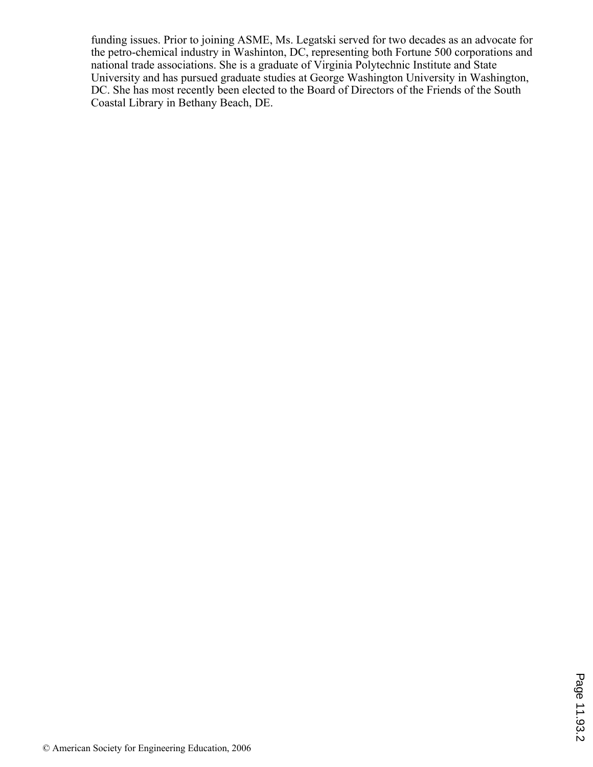funding issues. Prior to joining ASME, Ms. Legatski served for two decades as an advocate for the petro-chemical industry in Washinton, DC, representing both Fortune 500 corporations and national trade associations. She is a graduate of Virginia Polytechnic Institute and State University and has pursued graduate studies at George Washington University in Washington, DC. She has most recently been elected to the Board of Directors of the Friends of the South Coastal Library in Bethany Beach, DE.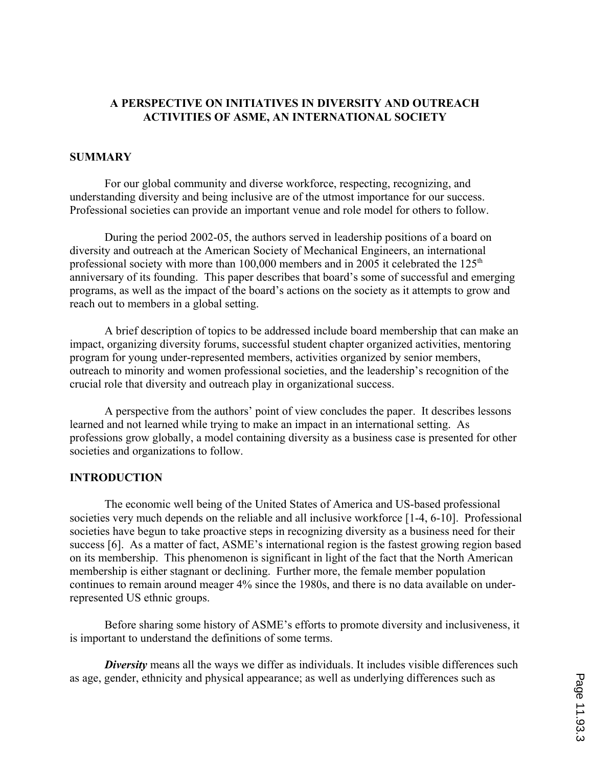### **A PERSPECTIVE ON INITIATIVES IN DIVERSITY AND OUTREACH ACTIVITIES OF ASME, AN INTERNATIONAL SOCIETY**

### **SUMMARY**

For our global community and diverse workforce, respecting, recognizing, and understanding diversity and being inclusive are of the utmost importance for our success. Professional societies can provide an important venue and role model for others to follow.

During the period 2002-05, the authors served in leadership positions of a board on diversity and outreach at the American Society of Mechanical Engineers, an international professional society with more than  $100,000$  members and in 2005 it celebrated the  $125<sup>th</sup>$ anniversary of its founding. This paper describes that board's some of successful and emerging programs, as well as the impact of the board's actions on the society as it attempts to grow and reach out to members in a global setting.

A brief description of topics to be addressed include board membership that can make an impact, organizing diversity forums, successful student chapter organized activities, mentoring program for young under-represented members, activities organized by senior members, outreach to minority and women professional societies, and the leadership's recognition of the crucial role that diversity and outreach play in organizational success.

A perspective from the authors' point of view concludes the paper. It describes lessons learned and not learned while trying to make an impact in an international setting. As professions grow globally, a model containing diversity as a business case is presented for other societies and organizations to follow.

#### **INTRODUCTION**

The economic well being of the United States of America and US-based professional societies very much depends on the reliable and all inclusive workforce [1-4, 6-10]. Professional societies have begun to take proactive steps in recognizing diversity as a business need for their success [6]. As a matter of fact, ASME's international region is the fastest growing region based on its membership. This phenomenon is significant in light of the fact that the North American membership is either stagnant or declining. Further more, the female member population continues to remain around meager 4% since the 1980s, and there is no data available on underrepresented US ethnic groups.

Before sharing some history of ASME's efforts to promote diversity and inclusiveness, it is important to understand the definitions of some terms.

**Diversity** means all the ways we differ as individuals. It includes visible differences such as age, gender, ethnicity and physical appearance; as well as underlying differences such as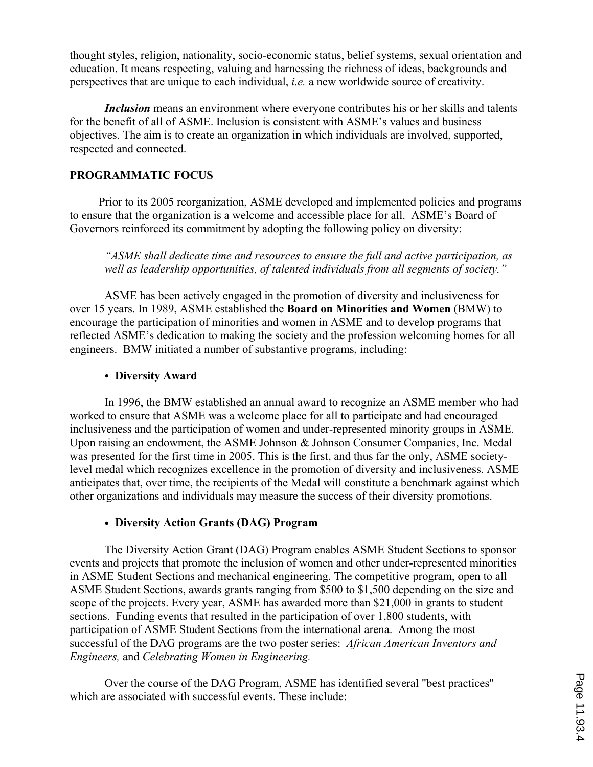thought styles, religion, nationality, socio-economic status, belief systems, sexual orientation and education. It means respecting, valuing and harnessing the richness of ideas, backgrounds and perspectives that are unique to each individual, *i.e.* a new worldwide source of creativity.

*Inclusion* means an environment where everyone contributes his or her skills and talents for the benefit of all of ASME. Inclusion is consistent with ASME's values and business objectives. The aim is to create an organization in which individuals are involved, supported, respected and connected.

# **PROGRAMMATIC FOCUS**

 Prior to its 2005 reorganization, ASME developed and implemented policies and programs to ensure that the organization is a welcome and accessible place for all. ASME's Board of Governors reinforced its commitment by adopting the following policy on diversity:

*"ASME shall dedicate time and resources to ensure the full and active participation, as well as leadership opportunities, of talented individuals from all segments of society."*

ASME has been actively engaged in the promotion of diversity and inclusiveness for over 15 years. In 1989, ASME established the **Board on Minorities and Women** (BMW) to encourage the participation of minorities and women in ASME and to develop programs that reflected ASME's dedication to making the society and the profession welcoming homes for all engineers. BMW initiated a number of substantive programs, including:

### • Diversity Award

In 1996, the BMW established an annual award to recognize an ASME member who had worked to ensure that ASME was a welcome place for all to participate and had encouraged inclusiveness and the participation of women and under-represented minority groups in ASME. Upon raising an endowment, the ASME Johnson & Johnson Consumer Companies, Inc. Medal was presented for the first time in 2005. This is the first, and thus far the only, ASME societylevel medal which recognizes excellence in the promotion of diversity and inclusiveness. ASME anticipates that, over time, the recipients of the Medal will constitute a benchmark against which other organizations and individuals may measure the success of their diversity promotions.

# **Diversity Action Grants (DAG) Program**

The Diversity Action Grant (DAG) Program enables ASME Student Sections to sponsor events and projects that promote the inclusion of women and other under-represented minorities in ASME Student Sections and mechanical engineering. The competitive program, open to all ASME Student Sections, awards grants ranging from \$500 to \$1,500 depending on the size and scope of the projects. Every year, ASME has awarded more than \$21,000 in grants to student sections. Funding events that resulted in the participation of over 1,800 students, with participation of ASME Student Sections from the international arena. Among the most successful of the DAG programs are the two poster series: *African American Inventors and Engineers,* and *Celebrating Women in Engineering.*

Over the course of the DAG Program, ASME has identified several "best practices" which are associated with successful events. These include: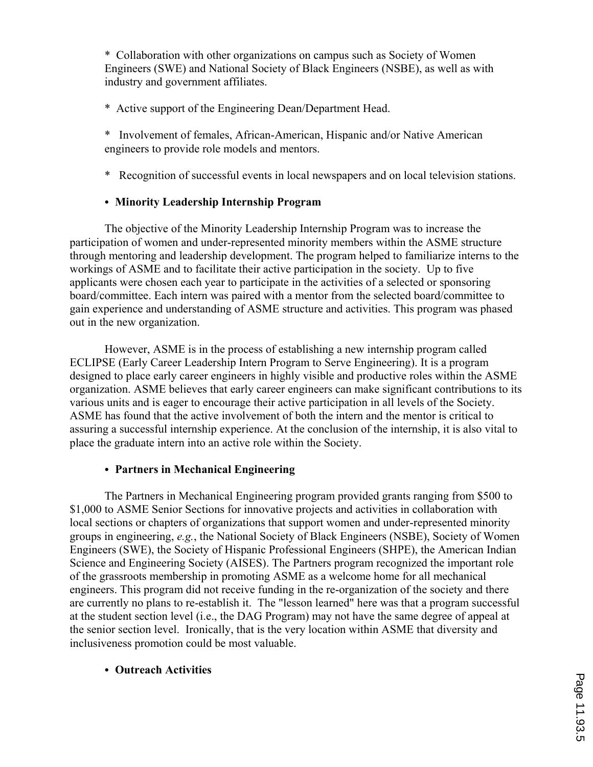\* Collaboration with other organizations on campus such as Society of Women Engineers (SWE) and National Society of Black Engineers (NSBE), as well as with industry and government affiliates.

# \* Active support of the Engineering Dean/Department Head.

- \* Involvement of females, African-American, Hispanic and/or Native American engineers to provide role models and mentors.
- \* Recognition of successful events in local newspapers and on local television stations.

# E **Minority Leadership Internship Program**

The objective of the Minority Leadership Internship Program was to increase the participation of women and under-represented minority members within the ASME structure through mentoring and leadership development. The program helped to familiarize interns to the workings of ASME and to facilitate their active participation in the society. Up to five applicants were chosen each year to participate in the activities of a selected or sponsoring board/committee. Each intern was paired with a mentor from the selected board/committee to gain experience and understanding of ASME structure and activities. This program was phased out in the new organization.

However, ASME is in the process of establishing a new internship program called ECLIPSE (Early Career Leadership Intern Program to Serve Engineering). It is a program designed to place early career engineers in highly visible and productive roles within the ASME organization. ASME believes that early career engineers can make significant contributions to its various units and is eager to encourage their active participation in all levels of the Society. ASME has found that the active involvement of both the intern and the mentor is critical to assuring a successful internship experience. At the conclusion of the internship, it is also vital to place the graduate intern into an active role within the Society.

# **• Partners in Mechanical Engineering**

The Partners in Mechanical Engineering program provided grants ranging from \$500 to \$1,000 to ASME Senior Sections for innovative projects and activities in collaboration with local sections or chapters of organizations that support women and under-represented minority groups in engineering, *e.g.*, the National Society of Black Engineers (NSBE), Society of Women Engineers (SWE), the Society of Hispanic Professional Engineers (SHPE), the American Indian Science and Engineering Society (AISES). The Partners program recognized the important role of the grassroots membership in promoting ASME as a welcome home for all mechanical engineers. This program did not receive funding in the re-organization of the society and there are currently no plans to re-establish it. The "lesson learned" here was that a program successful at the student section level (i.e., the DAG Program) may not have the same degree of appeal at the senior section level. Ironically, that is the very location within ASME that diversity and inclusiveness promotion could be most valuable.

# E **Outreach Activities**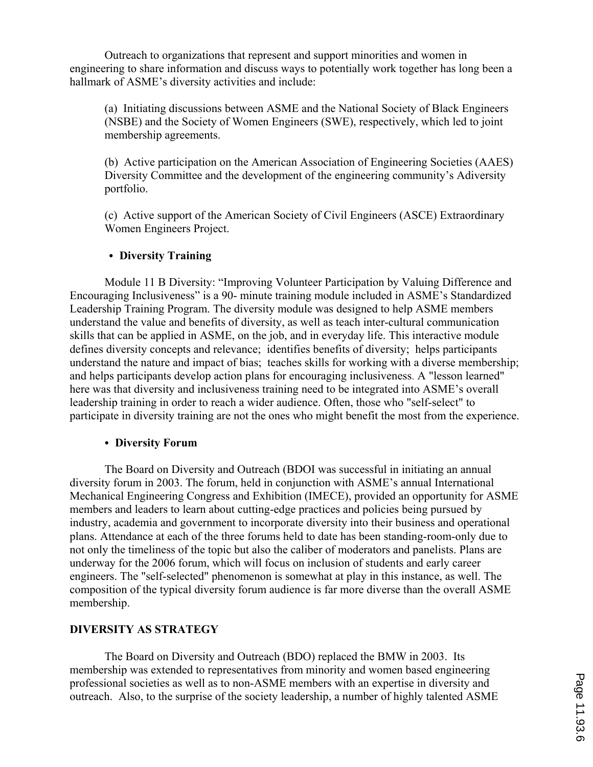Outreach to organizations that represent and support minorities and women in engineering to share information and discuss ways to potentially work together has long been a hallmark of ASME's diversity activities and include:

(a) Initiating discussions between ASME and the National Society of Black Engineers (NSBE) and the Society of Women Engineers (SWE), respectively, which led to joint membership agreements.

(b) Active participation on the American Association of Engineering Societies (AAES) Diversity Committee and the development of the engineering community's Adiversity portfolio.

(c) Active support of the American Society of Civil Engineers (ASCE) Extraordinary Women Engineers Project.

# **• Diversity Training**

Module 11 B Diversity: "Improving Volunteer Participation by Valuing Difference and Encouraging Inclusiveness" is a 90- minute training module included in ASME's Standardized Leadership Training Program. The diversity module was designed to help ASME members understand the value and benefits of diversity, as well as teach inter-cultural communication skills that can be applied in ASME, on the job, and in everyday life. This interactive module defines diversity concepts and relevance; identifies benefits of diversity; helps participants understand the nature and impact of bias; teaches skills for working with a diverse membership; and helps participants develop action plans for encouraging inclusiveness. A "lesson learned" here was that diversity and inclusiveness training need to be integrated into ASME's overall leadership training in order to reach a wider audience. Often, those who "self-select" to participate in diversity training are not the ones who might benefit the most from the experience.

### • Diversity Forum

The Board on Diversity and Outreach (BDOI was successful in initiating an annual diversity forum in 2003. The forum, held in conjunction with ASME's annual International Mechanical Engineering Congress and Exhibition (IMECE), provided an opportunity for ASME members and leaders to learn about cutting-edge practices and policies being pursued by industry, academia and government to incorporate diversity into their business and operational plans. Attendance at each of the three forums held to date has been standing-room-only due to not only the timeliness of the topic but also the caliber of moderators and panelists. Plans are underway for the 2006 forum, which will focus on inclusion of students and early career engineers. The "self-selected" phenomenon is somewhat at play in this instance, as well. The composition of the typical diversity forum audience is far more diverse than the overall ASME membership.

# **DIVERSITY AS STRATEGY**

The Board on Diversity and Outreach (BDO) replaced the BMW in 2003. Its membership was extended to representatives from minority and women based engineering professional societies as well as to non-ASME members with an expertise in diversity and outreach. Also, to the surprise of the society leadership, a number of highly talented ASME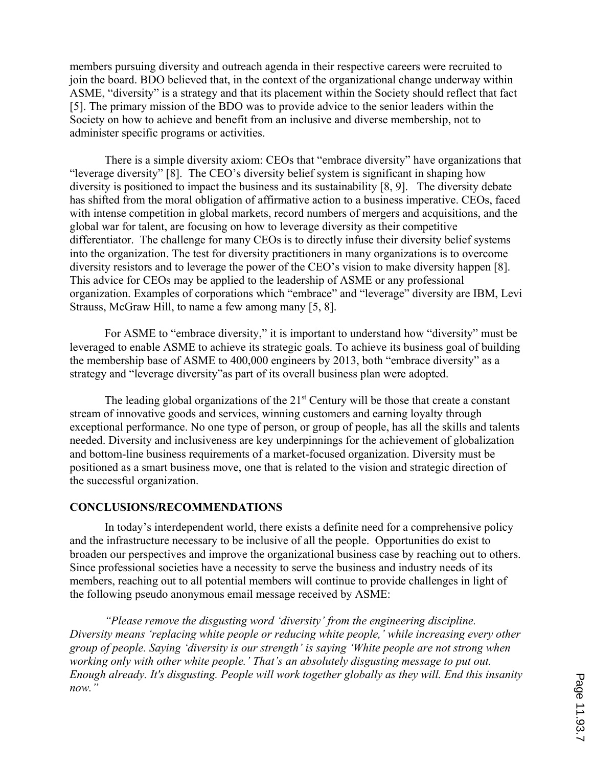members pursuing diversity and outreach agenda in their respective careers were recruited to join the board. BDO believed that, in the context of the organizational change underway within ASME, "diversity" is a strategy and that its placement within the Society should reflect that fact [5]. The primary mission of the BDO was to provide advice to the senior leaders within the Society on how to achieve and benefit from an inclusive and diverse membership, not to administer specific programs or activities.

There is a simple diversity axiom: CEOs that "embrace diversity" have organizations that "leverage diversity" [8]. The CEO's diversity belief system is significant in shaping how diversity is positioned to impact the business and its sustainability [8, 9]. The diversity debate has shifted from the moral obligation of affirmative action to a business imperative. CEOs, faced with intense competition in global markets, record numbers of mergers and acquisitions, and the global war for talent, are focusing on how to leverage diversity as their competitive differentiator. The challenge for many CEOs is to directly infuse their diversity belief systems into the organization. The test for diversity practitioners in many organizations is to overcome diversity resistors and to leverage the power of the CEO's vision to make diversity happen [8]. This advice for CEOs may be applied to the leadership of ASME or any professional organization. Examples of corporations which "embrace" and "leverage" diversity are IBM, Levi Strauss, McGraw Hill, to name a few among many [5, 8].

For ASME to "embrace diversity," it is important to understand how "diversity" must be leveraged to enable ASME to achieve its strategic goals. To achieve its business goal of building the membership base of ASME to 400,000 engineers by 2013, both "embrace diversity" as a strategy and "leverage diversity"as part of its overall business plan were adopted.

The leading global organizations of the  $21<sup>st</sup>$  Century will be those that create a constant stream of innovative goods and services, winning customers and earning loyalty through exceptional performance. No one type of person, or group of people, has all the skills and talents needed. Diversity and inclusiveness are key underpinnings for the achievement of globalization and bottom-line business requirements of a market-focused organization. Diversity must be positioned as a smart business move, one that is related to the vision and strategic direction of the successful organization.

### **CONCLUSIONS/RECOMMENDATIONS**

In today's interdependent world, there exists a definite need for a comprehensive policy and the infrastructure necessary to be inclusive of all the people. Opportunities do exist to broaden our perspectives and improve the organizational business case by reaching out to others. Since professional societies have a necessity to serve the business and industry needs of its members, reaching out to all potential members will continue to provide challenges in light of the following pseudo anonymous email message received by ASME:

*"Please remove the disgusting word 'diversity' from the engineering discipline. Diversity means 'replacing white people or reducing white people,' while increasing every other group of people. Saying 'diversity is our strength' is saying 'White people are not strong when working only with other white people.' That's an absolutely disgusting message to put out. Enough already. It's disgusting. People will work together globally as they will. End this insanity now."*